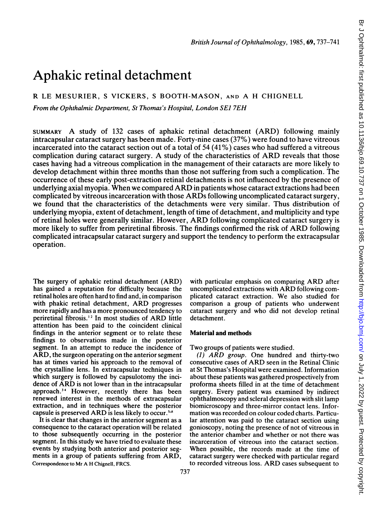# Aphakic retinal detachment

## R LE MESURIER, <sup>S</sup> VICKERS, <sup>S</sup> BOOTH-MASON, AND A H CHIGNELL

From the Ophthalmic Department, St Thomas's Hospital, London SE] 7EH

SUMMARY A study of <sup>132</sup> cases of aphakic retinal detachment (ARD) following mainly intracapsular cataract surgery has been made. Forty-nine cases (37%) were found to have vitreous incarcerated into the cataract section out of a total of 54 (41%) cases who had suffered a vitreous complication during cataract surgery. A study of the characteristics of ARD reveals that those cases having had a vitreous complication in the management of their cataracts are more likely to develop detachment within three months than those not suffering from such a complication. The occurrence of these early post-extraction retinal detachments is not influenced by the presence of underlying axial myopia. When we compared ARD in patients whose cataract extractions had been complicated by vitreous incarceration with those ARDs following uncomplicated cataract surgery, we found that the characteristics of the detachments were very similar. Thus distribution of underlying myopia, extent of detachment, length of time of detachment, and multiplicity and type of retinal holes were generally similar. However, ARD following complicated cataract surgery is more likely to suffer from periretinal fibrosis. The findings confirmed the risk of ARD following complicated intracapsular cataract surgery and support the tendency to perform the extracapsular operation.

The surgery of aphakic retinal detachment (ARD) has gained a reputation for difficulty because the retinal holes are often hard to find and, in comparison with phakic retinal detachment, ARD progresses more rapidly and has a more pronounced tendency to periretinal fibrosis.'2 In most studies of ARD little attention has been paid to the coincident clinical findings in the anterior segment or to relate these findings to observations made in the posterior segment. In an attempt to reduce the incidence of ARD, the surgeon operating on the anterior segment has at times varied his approach to the removal of the crystalline lens. In extracapsular techniques in which surgery is followed by capsulotomy the incidence of ARD is not lower than in the intracapsular approach.<sup>34</sup> However, recently there has been renewed interest in the methods of extracapsular extraction, and in techniques where the posterior capsule is preserved ARD is less likely to occur.<sup>548</sup>

It is clear that changes in the anterior segment as a consequence to the cataract operation will be related to those subsequently occurring in the posterior segment. In this study we have tried to evaluate these events by studying both anterior and posterior segments in <sup>a</sup> group of patients suffering from ARD, Correspondence-to Mr A H Chignell, FRCS.

with particular emphasis on comparing ARD after uncomplicated extractions with ARD following complicated cataract extraction. We also studied for comparison a group of patients who underwent cataract surgery and who did not develop retinal detachment.

## Material and methods

Two groups of patients were studied.

(1) ARD group. One hundred and thirty-two consecutive cases of ARD seen in the Retinal Clinic at St Thomas's Hospital were examined. Information about these patients was gathered prospectively from proforma sheets filled in at the time of detachment surgery. Every patient was examined by indirect ophthalmoscopy and scleral depression with slit lamp biomicroscopy and three-mirror contact lens. Information was recorded on colour coded charts. Particular attention was paid to the cataract section using gonioscopy, noting the presence of not of vitreous in the anterior chamber and whether or not there was incarceration of vitreous into the cataract section. When possible, the records made at the time of cataract surgery were checked with particular regard to recorded vitreous loss. ARD cases subsequent to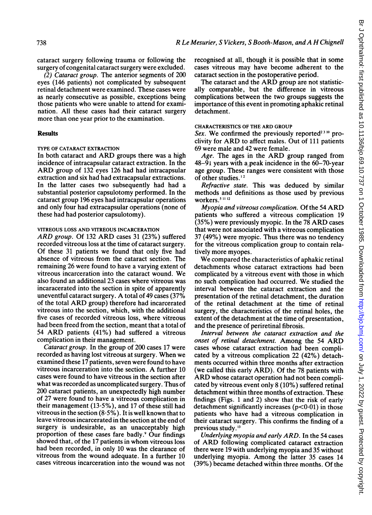cataract surgery following trauma or following the surgery of congenital cataract surgery were excluded.

(2) Cataract group. The anterior segments of 200 eyes (146 patients) not complicated by subsequent retinal detachment were examined. These cases were as nearly consecutive as possible, exceptions being those patients who were unable to attend for examination. All these cases had their cataract surgery more than one year prior to the examination.

## Results

#### TYPE OF CATARACT EXTRACTION

In both cataract and ARD groups there was <sup>a</sup> high incidence of intracapsular cataract extraction. In the ARD group of <sup>132</sup> eyes <sup>126</sup> had had intracapsular extraction and six had had extracapsular extractions. In the latter cases two subsequently had had a substantial posterior capsulotomy performed. In the cataract group 196 eyes had intracapsular operations and only four had extracapsular operations (none of these had had posterior capsulotomy).

#### VITREOUS LOSS AND VITREOUS INCARCERATION

ARD group. Of <sup>132</sup> ARD cases <sup>31</sup> (23%) suffered recorded vitreous loss at the time of cataract surgery. Of these 31 patients we found that only five had absence of vitreous from the cataract section. The remaining 26 were found to have a varying extent of vitreous incarceration into the cataract wound. We also found an additional 23 cases where vitreous was incaracerated into the section in spite of apparently uneventful cataract surgery. A total of <sup>49</sup> cases (37% of the total ARD group) therefore had incarcerated vitreous into the section, which, with the additional five cases of recorded vitreous loss, where vitreous had been freed from the section, meant that a total of <sup>54</sup> ARD patients (41%) had suffered <sup>a</sup> vitreous complication in their management.

Cataract group. In the group of 200 cases 17 were recorded as having lost vitreous at surgery. When we examined these 17 patients, seven were found to have vitreous incarceration into the section. A further <sup>10</sup> cases were found to have vitreous in the section after what was recorded as uncomplicated surgery. Thus of 200 cataract patients, an unexpectedly high number of 27 were found to have a vitreous complication in their management  $(13.5\%)$ , and 17 of these still had vitreous in the section  $(8.5\%)$ . It is well known that to leave vitreous incarcerated in the section at the end of surgery is undesirable, as an unacceptably high proportion of these cases fare badly.9 Our findings showed that, of the <sup>17</sup> patients in whom vitreous loss had been recorded, in only 10 was the clearance of vitreous from the wound adequate. In a further 10 cases vitreous incarceration into the wound was not

recognised at all, though it is possible that in some cases vitreous may have become adherent to the cataract section in the postoperative period.

The cataract and the ARD group are not statistically comparable, but the difference in vitreous complications between the two groups suggests the importance of this event in promoting aphakic retinal detachment.

## CHARACTERISTICS OF THE ARD GROUP

Sex. We confirmed the previously reported<sup>2310</sup> proclivity for ARD to affect males. Out of <sup>111</sup> patients 69 were male and 42 were female.

Age. The ages in the ARD group ranged from 48-91 years with a peak incidence in the 60-70-year age group. These ranges were consistent with those of other studies.<sup>12</sup>

Refractive state. This was deduced by similar methods and definitions as those used by previous workers.<sup>5 11</sup>12

Myopia and vitreous complication. Of the <sup>54</sup> ARD patients who suffered a vitreous complication 19 (35%) were previously myopic. In the <sup>78</sup> ARD cases that were not associated with a vitreous complication 37 (49%) were myopic. Thus there was no tendency for the vitreous complication group to contain relatively more myopes.

We compared the characteristics of aphakic retinal detachments whose cataract extractions had been complicated by a vitreous event with those in which no such complication had occurred. We studied the interval between the cataract extraction and the presentation of the retinal detachment, the duration of the retinal detachment at the time of retinal surgery, the characteristics of the retinal holes, the extent of the detachment at the time of presentation, and the presence of periretinal fibrosis.

Interval between the cataract extraction and the onset of retinal detachment. Among the <sup>54</sup> ARD cases whose cataract extraction had been complicated by a vitreous complication 22 (42%) detachments occurred within three months after extraction (we called this early ARD). Of the 78 patients with ARD whose cataract operation had not been complicated by vitreous event only 8 (10%) suffered retinal detachment within three months of extraction. These findings (Figs. <sup>1</sup> and 2) show that the risk of early detachment significantly increases  $(p<0.01)$  in those patients who have had a vitreous complication in their cataract surgery. This confirms the finding of a previous study. <sup>13</sup>

Underlying myopia and early ARD. In the 54 cases of ARD following complicated cataract extraction there were 19 with underlying myopia and 35 without underlying myopia. Among the latter 35 cases <sup>14</sup> (39%) became detached within three months. Of the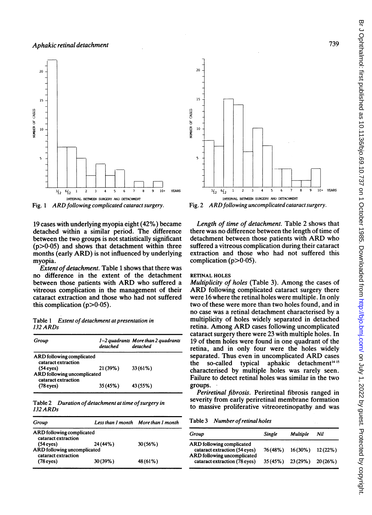#### Aphakic retinal detachment



Fig. 1 ARD following complicated cataract surgery.

19 cases with underlying myopia eight (42%) became detached within a similar period. The difference between the two groups is not statistically significant  $(p>0.05)$  and shows that detachment within three months (early ARD) is not influenced by underlying myopia.

Extent of detachment. Table 1 shows that there was no difference in the extent of the detachment between those patients with ARD who suffered <sup>a</sup> vitreous complication in the management of their cataract extraction and those who had not suffered this complication ( $p > 0.05$ ).

Table 1 Extent of detachment at presentation in <sup>132</sup> ARDs

| Group                                              | detached | 1-2 quadrants More than 2 quadrants<br>detached |
|----------------------------------------------------|----------|-------------------------------------------------|
| ARD following complicated<br>cataract extraction   |          |                                                 |
| $(54$ eyes)                                        | 21(39%)  | 33(61%)                                         |
| ARD following uncomplicated<br>cataract extraction |          |                                                 |
| $(78$ eyes)                                        | 35(45%)  | 43 (55%)                                        |

Table 2 Duration of detachment at time of surgery in 132 ARDs

| Group                                            |          | Less than I month More than I month |
|--------------------------------------------------|----------|-------------------------------------|
| ARD following complicated<br>cataract extraction |          |                                     |
| $(54$ eyes)<br>ARD following uncomplicated       | 24 (44%) | 30(56%)                             |
| cataract extraction<br>$(78$ eyes)               | 30(39%)  | 48(61%)                             |

20 15 -  $\overline{\phantom{a}}$ &<br>អ្ហូ 10 -<br>អ្ហូ 10 -5  $\Box$  $12^{01}2^{12}$   $12^{12}$   $12^{12}$   $12^{12}$ INTERVAL BETWEEN SURGERY AND DETACHMENT

Fig. 2 ARD following uncomplicated cataract surgery.

Length of time of detachment. Table 2 shows that there was no difference between the length of time of detachment between those patients with ARD who suffered a vitreous complication during their cataract extraction and those who had not suffered this complication  $(p>0.05)$ .

#### RETINAL HOLES

Multiplicity of holes (Table 3). Among the cases of ARD following complicated cataract surgery there were 16 where the retinal holes were multiple. In only two of these were more than two holes found, and in no case was a retinal detachment characterised by a multiplicity of holes widely separated in detached retina. Among ARD cases following uncomplicated cataract surgery there were 23 with multiple holes. In 19 of them holes were found in one quadrant of the retina, and in only four were the holes widely separated. Thus even in uncomplicated ARD cases the so-called typical aphakic detachment $14.15$ characterised by multiple holes was rarely seen. Failure to detect retinal holes was similar in the two groups.

Periretinal fibrosis. Periretinal fibrosis ranged in severity from early periretinal membrane formation to massive proliferative vitreoretinopathy and was

Table 3 Number of retinal holes

| Group                                                        | Single   | <b>Multiple</b>                  | Nil     |
|--------------------------------------------------------------|----------|----------------------------------|---------|
| <b>ARD</b> following complicated                             |          |                                  |         |
| cataract extraction (54 eyes)<br>ARD following uncomplicated | 76 (48%) | $16(30\%)$                       | 12(22%) |
| cataract extraction (78 eyes)                                |          | $35(45\%)$ $23(29\%)$ $20(26\%)$ |         |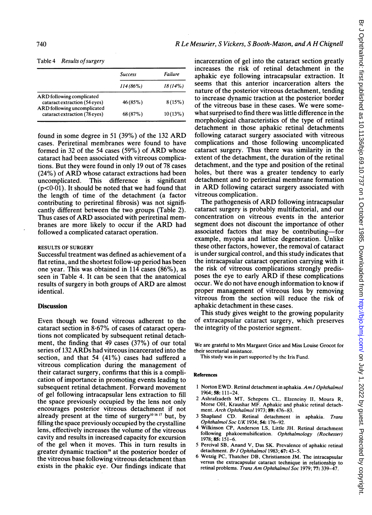740

R Le Mesurier, <sup>S</sup> Vickers, <sup>S</sup> Booth-Mason, and A H Chignell

Table 4 Results of surgery

|                                                                                           | <b>Success</b> | Failure<br>18(14%) |  |
|-------------------------------------------------------------------------------------------|----------------|--------------------|--|
|                                                                                           | 114(86%)       |                    |  |
| ARD following complicated<br>cataract extraction (54 eyes)<br>ARD following uncomplicated | 46 (85%)       | 8(15%)             |  |
| cataract extraction (78 eyes)                                                             | 68 (87%)       | 10(13%)            |  |

found in some degree in <sup>51</sup> (39%) of the <sup>132</sup> ARD cases. Periretinal membranes were found to have formed in <sup>32</sup> of the <sup>54</sup> cases (59%) of ARD whose cataract had been associated with vitreous complications. But they were found in only 19 out of 78 cases  $(24%)$  of ARD whose cataract extractions had been<br>uncomplicated. This difference is significant uncomplicated.  $(p<0.01)$ . It should be noted that we had found that the length of time of the detachment (a factor contributing to periretinal fibrosis) was not significantly different between the two groups (Table 2). Thus cases of ARD associated with periretinal membranes are more likely to occur if the ARD had followed a complicated cataract operation.

## RESULTS OF SURGERY

Successful treatment was defined as achievement of a flat retina, and the shortest follow-up period has been one year. This was obtained in 114 cases (86%), as seen in Table 4. It can be seen that the anatomical results of surgery in both groups of ARD are almost identical.

## **Discussion**

Even though we found vitreous adherent to the cataract section in 8-67% of cases of cataract operations not complicated by subsequent retinal detachment, the finding that 49 cases (37%) of our total series of <sup>132</sup> ARDs had vitreous incarcerated into the section, and that 54 (41%) cases had suffered a vitreous complication during the management of their cataract surgery, confirms that this is a complication of importance in promoting events leading to subsequent retinal detachment. Forward movement of gel following intracapsular lens extraction to fill the space previously occupied by the lens not only encourages posterior vitreous detachment if not already present at the time of surgery<sup>10 16 17</sup> but, by filling the space previously occupied by the crystalline lens, effectively increases the volume of the vitreous cavity and results in increased capacity for excursion of the gel when it moves. This in turn results in greater dynamic traction<sup>18</sup> at the posterior border of the vitreous base following vitreous detachment than exists in the phakic eye. Our findings indicate that

incarceration of gel into the cataract section greatly increases the risk of retinal detachment in the aphakic eye following intracapsular extraction. It seems that this anterior incarceration alters the nature of the posterior vitreous detachment, tending to increase dynamic traction at the posterior border of the vitreous base in these cases. We were somewhat surprised to find there was little difference in the morphological characteristics of the type of retinal detachment in those aphakic retinal detachments following cataract surgery associated with vitreous complications and those following uncomplicated cataract surgery. Thus there was similarity in the extent of the detachment, the duration of the retinal detachment, and the type and position of the retinal holes, but there was a greater tendency to early detachment and to periretinal membrane formation in ARD following cataract surgery associated with vitreous complication.

The pathogenesis of ARD following intracapsular cataract surgery is probably multifactorial, and our concentration on vitreous events in the anterior segment does not discount the importance of other associated factors that may be contributing-for example, myopia and lattice degeneration. Unlike these other factors, however, the removal of cataract is under surgical control, and this study indicates that the intracapsular cataract operation carrying with it the risk of vitreous complications strongly predisposes the eye to early ARD if these complications occur. We do not have enough information to know if proper management of vitreous loss by removing vitreous from the section will reduce the risk of aphakic detachment in these cases.

This study gives weight to the growing popularity of extracapsular cataract surgery, which preserves the integrity of the posterior segment.

We are grateful to Mrs Margaret Grice and Miss Louise Grocot for their secretarial assistance.

This study was in part supported by thc Iris Fund.

#### References

- <sup>1</sup> Norton EWD. Retinal detachment in aphakia. Am<sup>J</sup> Ophthalmol 1964; 58: 111-24.
- 2 Ashrafzadeth MT, Schepens CL, Elzeneiny II, Moura R, Morse OH, Kraushar MF. Aphakic and phakic retinal detachment. Arch Ophthalmol 1973; 89: 476-83.
- 3 Shapland CD. Retinal detachment in aphakia. Trans Ophthalmol Soc UK 1934; 54: 176-92.
- 4 Wilkinson CP, Anderson LS, Little JH. Retinal detachment following phakoemulsification. Ophthalmology (Rochester) 1978; 85:151-6.
- <sup>5</sup> Percival SB, Anand V, Das SK. Prevalence of aphakic retinal detachment. Br J Ophthalmol 1983; 67: 43-5.
- Wetzig PC, Thatcher DB, Christianson JM. The intracapsular versus the extracapsular cataract technique in relationship to retinal problems. Trans Am Ophthalmol Soc 1979; 77: 339-47.